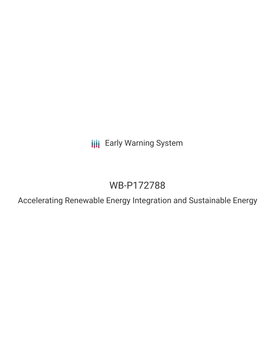**III** Early Warning System

# WB-P172788

Accelerating Renewable Energy Integration and Sustainable Energy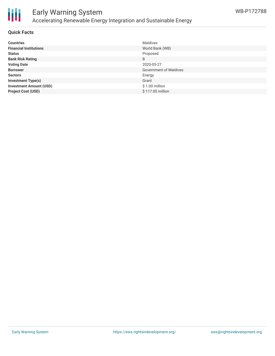

### Early Warning System Accelerating Renewable Energy Integration and Sustainable Energy

#### **Quick Facts**

| <b>Countries</b>               | <b>Maldives</b>               |
|--------------------------------|-------------------------------|
| <b>Financial Institutions</b>  | World Bank (WB)               |
| <b>Status</b>                  | Proposed                      |
| <b>Bank Risk Rating</b>        | B                             |
| <b>Voting Date</b>             | 2020-05-27                    |
| <b>Borrower</b>                | <b>Government of Maldives</b> |
| <b>Sectors</b>                 | Energy                        |
| <b>Investment Type(s)</b>      | Grant                         |
| <b>Investment Amount (USD)</b> | $$1.00$ million               |
| <b>Project Cost (USD)</b>      | \$117.00 million              |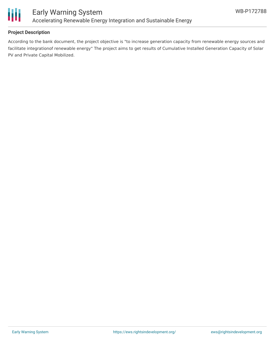

#### **Project Description**

According to the bank document, the project objective is "to increase generation capacity from renewable energy sources and facilitate integrationof renewable energy" The project aims to get results of Cumulative Installed Generation Capacity of Solar PV and Private Capital Mobilized.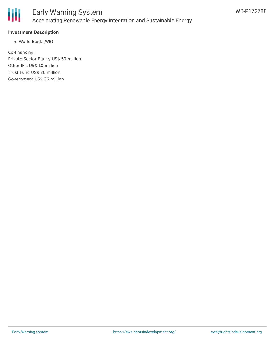

#### **Investment Description**

World Bank (WB)

Co-financing: Private Sector Equity US\$ 50 million Other IFIs US\$ 10 million Trust Fund US\$ 20 million Government US\$ 36 million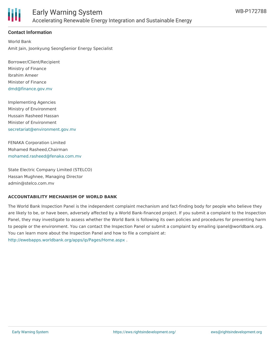

#### **Contact Information**

World Bank Amit Jain, Joonkyung SeongSenior Energy Specialist

Borrower/Client/Recipient Ministry of Finance Ibrahim Ameer Minister of Finance [dmd@finance.gov.mv](mailto:dmd@finance.gov.mv)

Implementing Agencies Ministry of Environment Hussain Rasheed Hassan Minister of Environment [secretariat@environment.gov.mv](mailto:secretariat@environment.gov.mv)

FENAKA Corporation Limited Mohamed Rasheed,Chairman [mohamed.rasheed@fenaka.com.mv](mailto:mohamed.rasheed@fenaka.com.mv)

State Electric Company Limited (STELCO) Hassan Mughnee, Managing Director admin@stelco.com.mv

#### **ACCOUNTABILITY MECHANISM OF WORLD BANK**

The World Bank Inspection Panel is the independent complaint mechanism and fact-finding body for people who believe they are likely to be, or have been, adversely affected by a World Bank-financed project. If you submit a complaint to the Inspection Panel, they may investigate to assess whether the World Bank is following its own policies and procedures for preventing harm to people or the environment. You can contact the Inspection Panel or submit a complaint by emailing ipanel@worldbank.org. You can learn more about the Inspection Panel and how to file a complaint at: <http://ewebapps.worldbank.org/apps/ip/Pages/Home.aspx> .